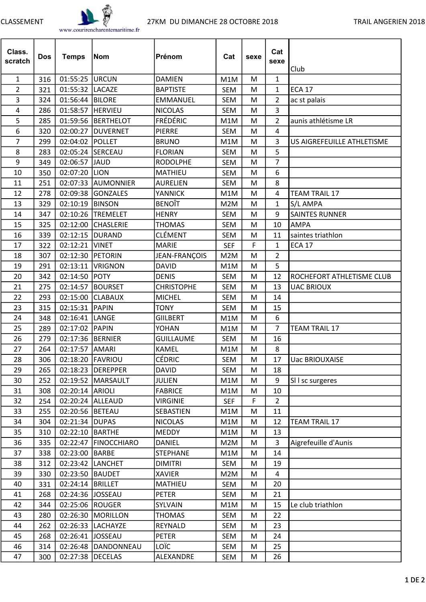

| Class.<br>scratch | <b>Dos</b> | <b>Temps</b>       | <b>Nom</b>           | Prénom            | Cat        | sexe | Cat<br>sexe    | Club                       |
|-------------------|------------|--------------------|----------------------|-------------------|------------|------|----------------|----------------------------|
| $\mathbf{1}$      | 316        | 01:55:25   URCUN   |                      | <b>DAMIEN</b>     | M1M        | M    | 1              |                            |
| $\overline{2}$    | 321        | 01:55:32  LACAZE   |                      | <b>BAPTISTE</b>   | <b>SEM</b> | M    | 1              | <b>ECA 17</b>              |
| 3                 | 324        | 01:56:44  BILORE   |                      | <b>EMMANUEL</b>   | <b>SEM</b> | M    | $\overline{2}$ | ac st palais               |
| 4                 | 286        | 01:58:57           | <b>HERVIEU</b>       | <b>NICOLAS</b>    | <b>SEM</b> | M    | 3              |                            |
| 5                 | 285        |                    | 01:59:56 BERTHELOT   | <b>FRÉDÉRIC</b>   | M1M        | М    | $\overline{2}$ | aunis athlétisme LR        |
| 6                 | 320        | 02:00:27           | <b>DUVERNET</b>      | <b>PIERRE</b>     | <b>SEM</b> | M    | 4              |                            |
| $\overline{7}$    | 299        | 02:04:02 POLLET    |                      | <b>BRUNO</b>      | M1M        | M    | 3              | US AIGREFEUILLE ATHLETISME |
| 8                 | 283        |                    | 02:05:24 SERCEAU     | <b>FLORIAN</b>    | <b>SEM</b> | M    | 5              |                            |
| 9                 | 349        | 02:06:57 JJAUD     |                      | <b>RODOLPHE</b>   | <b>SEM</b> | M    | 7              |                            |
| 10                | 350        | 02:07:20  LION     |                      | <b>MATHIEU</b>    | <b>SEM</b> | M    | 6              |                            |
| 11                | 251        |                    | 02:07:33 AUMONNIER   | <b>AURELIEN</b>   | <b>SEM</b> | M    | 8              |                            |
| 12                | 278        |                    | 02:09:38 GONZALES    | <b>YANNICK</b>    | M1M        | M    | 4              | <b>TEAM TRAIL 17</b>       |
| 13                | 329        | 02:10:19   BINSON  |                      | <b>BENOIT</b>     | M2M        | M    | 1              | S/L AMPA                   |
| 14                | 347        |                    | 02:10:26 TREMELET    | <b>HENRY</b>      | <b>SEM</b> | M    | 9              | <b>SAINTES RUNNER</b>      |
| 15                | 325        |                    | 02:12:00 CHASLERIE   | <b>THOMAS</b>     | <b>SEM</b> | M    | 10             | <b>AMPA</b>                |
| 16                | 339        | 02:12:15   DURAND  |                      | CLÉMENT           | <b>SEM</b> | M    | 11             | saintes triathlon          |
| 17                | 322        | 02:12:21   VINET   |                      | <b>MARIE</b>      | <b>SEF</b> | F    | 1              | <b>ECA 17</b>              |
| 18                | 307        | 02:12:30           | <b>IPETORIN</b>      | JEAN-FRANÇOIS     | M2M        | M    | $\overline{2}$ |                            |
| 19                | 291        | 02:13:11           | <b>VRIGNON</b>       | <b>DAVID</b>      | M1M        | M    | 5              |                            |
| 20                | 342        | 02:14:50           | <b>POTY</b>          | <b>DENIS</b>      | <b>SEM</b> | M    | 12             | ROCHEFORT ATHLETISME CLUB  |
| 21                | 275        |                    | 02:14:57   BOURSET   | <b>CHRISTOPHE</b> | <b>SEM</b> | M    | 13             | <b>UAC BRIOUX</b>          |
| 22                | 293        |                    | 02:15:00 CLABAUX     | <b>MICHEL</b>     | <b>SEM</b> | M    | 14             |                            |
| 23                | 315        | 02:15:31 PAPIN     |                      | <b>TONY</b>       | <b>SEM</b> | M    | 15             |                            |
| 24                | 348        | 02:16:41           | LANGE                | <b>GIILBERT</b>   | M1M        | M    | 6              |                            |
| 25                | 289        | 02:17:02 PAPIN     |                      | YOHAN             | M1M        | M    | 7              | <b>TEAM TRAIL 17</b>       |
| 26                | 279        | 02:17:36  BERNIER  |                      | <b>GUILLAUME</b>  | SEM        | M    | 16             |                            |
| 27                | 264        | 02:17:57 AMARI     |                      | <b>KAMEL</b>      | M1M        | M    | 8              |                            |
| 28                | 306        | 02:18:20 FAVRIOU   |                      | CÉDRIC            | SEM        | M    | 17             | <b>Uac BRIOUXAISE</b>      |
| 29                | 265        |                    | 02:18:23   DEREPPER  | <b>DAVID</b>      | <b>SEM</b> | м    | 18             |                            |
| 30                | 252        |                    | 02:19:52   MARSAULT  | <b>JULIEN</b>     | M1M        | М    | 9              | SII sc surgeres            |
| 31                | 308        | 02:20:14 ARIOLI    |                      | <b>FABRICE</b>    | M1M        | M    | 10             |                            |
| 32                | 254        |                    | 02:20:24 ALLEAUD     | <b>VIRGINIE</b>   | <b>SEF</b> | F    | $\overline{2}$ |                            |
| 33                | 255        | 02:20:56 BETEAU    |                      | SEBASTIEN         | M1M        | M    | 11             |                            |
| 34                | 304        | 02:21:34  DUPAS    |                      | <b>NICOLAS</b>    | M1M        | M    | 12             | <b>TEAM TRAIL 17</b>       |
| 35                | 310        | 02:22:10 BARTHE    |                      | <b>MEDDY</b>      | M1M        | M    | 13             |                            |
| 36                | 335        |                    | 02:22:47 FINOCCHIARO | <b>DANIEL</b>     | M2M        | M    | $\overline{3}$ | Aigrefeuille d'Aunis       |
| 37                | 338        | 02:23:00 BARBE     |                      | <b>STEPHANE</b>   | M1M        | М    | 14             |                            |
| 38                | 312        |                    | 02:23:42 LANCHET     | <b>DIMITRI</b>    | SEM        | M    | 19             |                            |
| 39                | 330        | 02:23:50           | <b>BAUDET</b>        | <b>XAVIER</b>     | M2M        | M    | 4              |                            |
| 40                | 331        | 02:24:14   BRILLET |                      | MATHIEU           | SEM        | M    | 20             |                            |
| 41                | 268        | 02:24:36 JOSSEAU   |                      | <b>PETER</b>      | SEM        | M    | 21             |                            |
| 42                | 344        | 02:25:06  ROUGER   |                      | <b>SYLVAIN</b>    | M1M        | М    | 15             | Le club triathlon          |
| 43                | 280        |                    | 02:26:30   MORILLON  | <b>THOMAS</b>     | SEM        | M    | 22             |                            |
| 44                | 262        | 02:26:33           | LACHAYZE             | <b>REYNALD</b>    | SEM        | М    | 23             |                            |
| 45                | 268        | 02:26:41 JOSSEAU   |                      | <b>PETER</b>      | SEM        | M    | 24             |                            |
| 46                | 314        |                    | 02:26:48  DANDONNEAU | LOÏC              | SEM        | M    | 25             |                            |
| 47                | 300        | 02:27:38  DECELAS  |                      | ALEXANDRE         | SEM        | M    | 26             |                            |